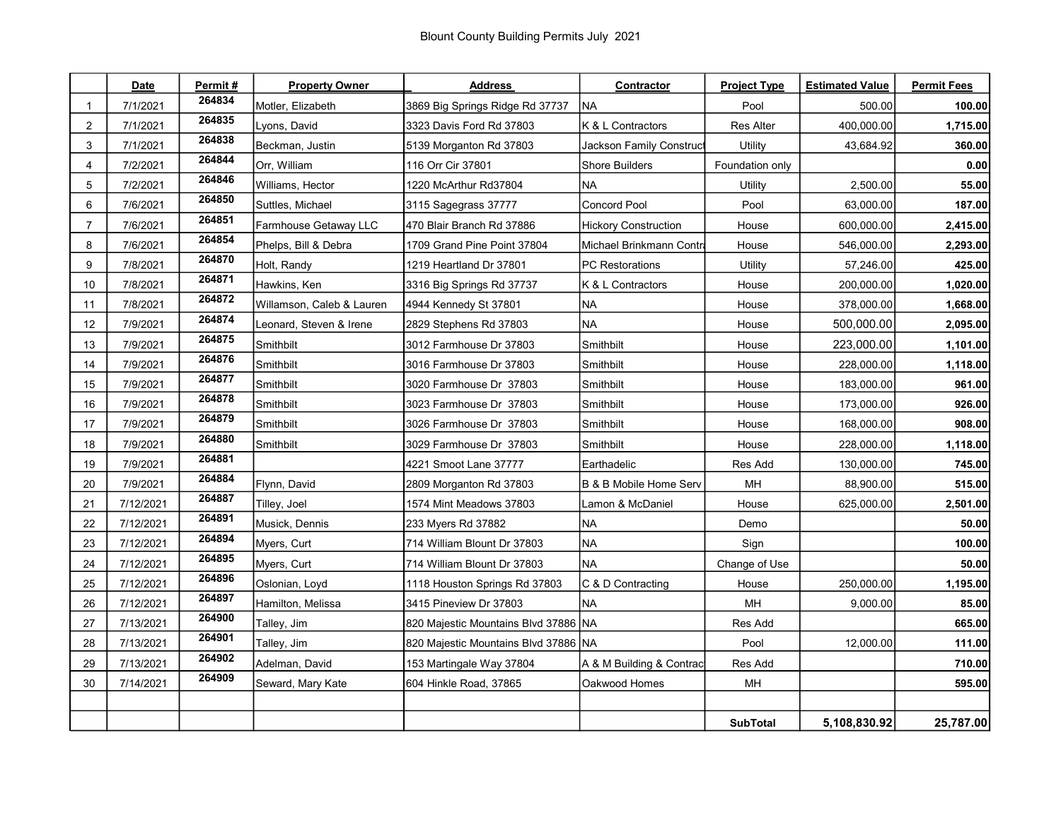|    | Date      | Permit# | <b>Property Owner</b>     | <b>Address</b>                       | Contractor                  | <b>Project Type</b> | <b>Estimated Value</b> | <b>Permit Fees</b> |
|----|-----------|---------|---------------------------|--------------------------------------|-----------------------------|---------------------|------------------------|--------------------|
| -1 | 7/1/2021  | 264834  | Motler, Elizabeth         | 3869 Big Springs Ridge Rd 37737      | <b>NA</b>                   | Pool                | 500.00                 | 100.00             |
| 2  | 7/1/2021  | 264835  | Lyons, David              | 3323 Davis Ford Rd 37803             | K & L Contractors           | <b>Res Alter</b>    | 400,000.00             | 1,715.00           |
| 3  | 7/1/2021  | 264838  | Beckman, Justin           | 5139 Morganton Rd 37803              | Jackson Family Construct    | Utility             | 43,684.92              | 360.00             |
| 4  | 7/2/2021  | 264844  | Orr, William              | 116 Orr Cir 37801                    | <b>Shore Builders</b>       | Foundation only     |                        | 0.00               |
| 5  | 7/2/2021  | 264846  | Williams, Hector          | 1220 McArthur Rd37804                | <b>NA</b>                   | Utility             | 2,500.00               | 55.00              |
| 6  | 7/6/2021  | 264850  | Suttles, Michael          | 3115 Sagegrass 37777                 | <b>Concord Pool</b>         | Pool                | 63,000.00              | 187.00             |
| 7  | 7/6/2021  | 264851  | Farmhouse Getaway LLC     | 470 Blair Branch Rd 37886            | <b>Hickory Construction</b> | House               | 600,000.00             | 2,415.00           |
| 8  | 7/6/2021  | 264854  | Phelps, Bill & Debra      | 1709 Grand Pine Point 37804          | Michael Brinkmann Contra    | House               | 546,000.00             | 2,293.00           |
| 9  | 7/8/2021  | 264870  | Holt, Randy               | 1219 Heartland Dr 37801              | <b>PC</b> Restorations      | Utility             | 57,246.00              | 425.00             |
| 10 | 7/8/2021  | 264871  | Hawkins, Ken              | 3316 Big Springs Rd 37737            | K & L Contractors           | House               | 200,000.00             | 1,020.00           |
| 11 | 7/8/2021  | 264872  | Willamson, Caleb & Lauren | 4944 Kennedy St 37801                | <b>NA</b>                   | House               | 378,000.00             | 1,668.00           |
| 12 | 7/9/2021  | 264874  | Leonard, Steven & Irene   | 2829 Stephens Rd 37803               | <b>NA</b>                   | House               | 500,000.00             | 2,095.00           |
| 13 | 7/9/2021  | 264875  | Smithbilt                 | 3012 Farmhouse Dr 37803              | Smithbilt                   | House               | 223,000.00             | 1,101.00           |
| 14 | 7/9/2021  | 264876  | Smithbilt                 | 3016 Farmhouse Dr 37803              | Smithbilt                   | House               | 228,000.00             | 1,118.00           |
| 15 | 7/9/2021  | 264877  | Smithbilt                 | 3020 Farmhouse Dr 37803              | Smithbilt                   | House               | 183,000.00             | 961.00             |
| 16 | 7/9/2021  | 264878  | <b>Smithbilt</b>          | 3023 Farmhouse Dr 37803              | Smithbilt                   | House               | 173,000.00             | 926.00             |
| 17 | 7/9/2021  | 264879  | Smithbilt                 | 3026 Farmhouse Dr 37803              | Smithbilt                   | House               | 168,000.00             | 908.00             |
| 18 | 7/9/2021  | 264880  | Smithbilt                 | 3029 Farmhouse Dr 37803              | Smithbilt                   | House               | 228,000.00             | 1,118.00           |
| 19 | 7/9/2021  | 264881  |                           | 4221 Smoot Lane 37777                | Earthadelic                 | Res Add             | 130,000.00             | 745.00             |
| 20 | 7/9/2021  | 264884  | Flynn, David              | 2809 Morganton Rd 37803              | B & B Mobile Home Serv      | MН                  | 88,900.00              | 515.00             |
| 21 | 7/12/2021 | 264887  | Tilley, Joel              | 1574 Mint Meadows 37803              | Lamon & McDaniel            | House               | 625,000.00             | 2,501.00           |
| 22 | 7/12/2021 | 264891  | Musick, Dennis            | 233 Myers Rd 37882                   | <b>NA</b>                   | Demo                |                        | 50.00              |
| 23 | 7/12/2021 | 264894  | Myers, Curt               | 714 William Blount Dr 37803          | <b>NA</b>                   | Sign                |                        | 100.00             |
| 24 | 7/12/2021 | 264895  | Myers, Curt               | 714 William Blount Dr 37803          | <b>NA</b>                   | Change of Use       |                        | 50.00              |
| 25 | 7/12/2021 | 264896  | Oslonian, Loyd            | 1118 Houston Springs Rd 37803        | C & D Contracting           | House               | 250,000.00             | 1,195.00           |
| 26 | 7/12/2021 | 264897  | Hamilton, Melissa         | 3415 Pineview Dr 37803               | <b>NA</b>                   | <b>MH</b>           | 9,000.00               | 85.00              |
| 27 | 7/13/2021 | 264900  | Talley, Jim               | 820 Majestic Mountains Blvd 37886 NA |                             | Res Add             |                        | 665.00             |
| 28 | 7/13/2021 | 264901  | Talley, Jim               | 820 Majestic Mountains Blvd 37886 NA |                             | Pool                | 12,000.00              | 111.00             |
| 29 | 7/13/2021 | 264902  | Adelman, David            | 153 Martingale Way 37804             | A & M Building & Contrac    | Res Add             |                        | 710.00             |
| 30 | 7/14/2021 | 264909  | Seward, Mary Kate         | 604 Hinkle Road, 37865               | Oakwood Homes               | MН                  |                        | 595.00             |
|    |           |         |                           |                                      |                             |                     |                        |                    |
|    |           |         |                           |                                      |                             | <b>SubTotal</b>     | 5,108,830.92           | 25,787.00          |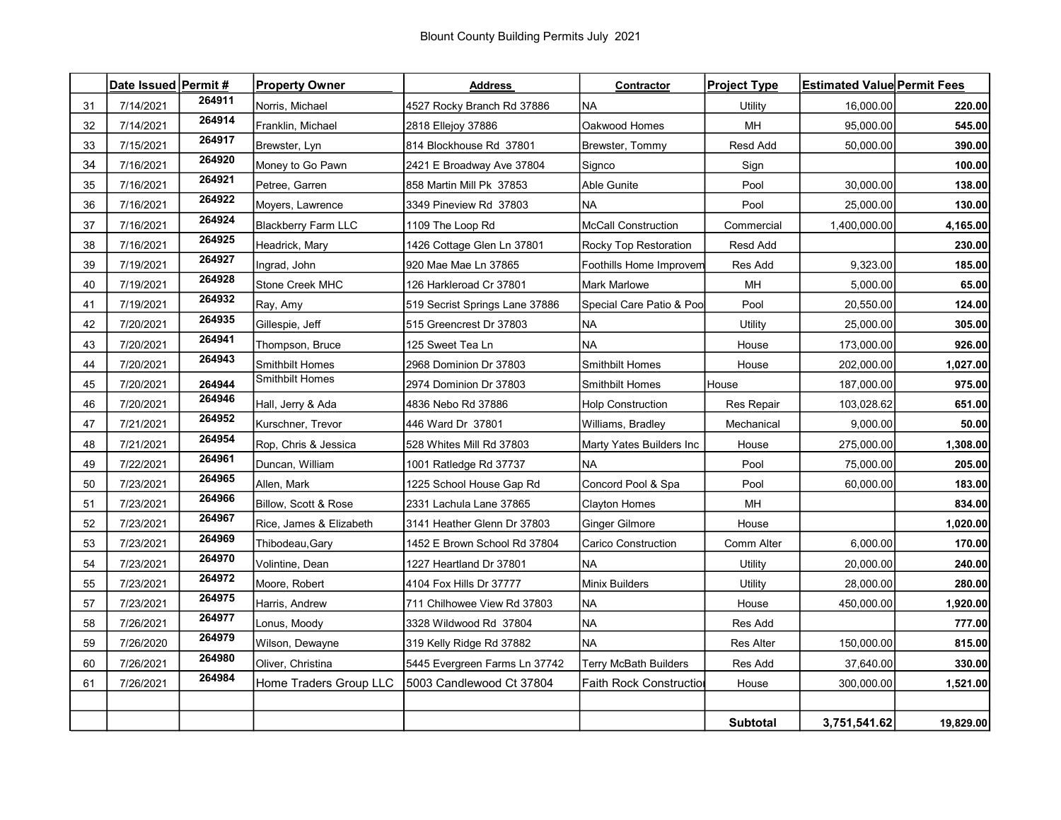|    | Date Issued Permit # |        | <b>Property Owner</b>      | <b>Address</b>                 | Contractor                   | <b>Project Type</b> | <b>Estimated Value Permit Fees</b> |           |
|----|----------------------|--------|----------------------------|--------------------------------|------------------------------|---------------------|------------------------------------|-----------|
| 31 | 7/14/2021            | 264911 | Norris, Michael            | 4527 Rocky Branch Rd 37886     | <b>NA</b>                    | Utility             | 16.000.00                          | 220.00    |
| 32 | 7/14/2021            | 264914 | Franklin, Michael          | 2818 Ellejoy 37886             | Oakwood Homes                | MH                  | 95,000.00                          | 545.00    |
| 33 | 7/15/2021            | 264917 | Brewster, Lyn              | 814 Blockhouse Rd 37801        | Brewster, Tommy              | Resd Add            | 50,000.00                          | 390.00    |
| 34 | 7/16/2021            | 264920 | Money to Go Pawn           | 2421 E Broadway Ave 37804      | Signco                       | Sign                |                                    | 100.00    |
| 35 | 7/16/2021            | 264921 | Petree, Garren             | 858 Martin Mill Pk 37853       | Able Gunite                  | Pool                | 30,000.00                          | 138.00    |
| 36 | 7/16/2021            | 264922 | Moyers, Lawrence           | 3349 Pineview Rd 37803         | NA                           | Pool                | 25,000.00                          | 130.00    |
| 37 | 7/16/2021            | 264924 | <b>Blackberry Farm LLC</b> | 1109 The Loop Rd               | <b>McCall Construction</b>   | Commercial          | 1,400,000.00                       | 4,165.00  |
| 38 | 7/16/2021            | 264925 | Headrick, Mary             | 1426 Cottage Glen Ln 37801     | Rocky Top Restoration        | Resd Add            |                                    | 230.00    |
| 39 | 7/19/2021            | 264927 | Ingrad, John               | 920 Mae Mae Ln 37865           | Foothills Home Improvem      | Res Add             | 9,323.00                           | 185.00    |
| 40 | 7/19/2021            | 264928 | Stone Creek MHC            | 126 Harkleroad Cr 37801        | Mark Marlowe                 | MH                  | 5,000.00                           | 65.00     |
| 41 | 7/19/2021            | 264932 | Ray, Amy                   | 519 Secrist Springs Lane 37886 | Special Care Patio & Poo     | Pool                | 20,550.00                          | 124.00    |
| 42 | 7/20/2021            | 264935 | Gillespie, Jeff            | 515 Greencrest Dr 37803        | <b>NA</b>                    | Utility             | 25,000.00                          | 305.00    |
| 43 | 7/20/2021            | 264941 | Thompson, Bruce            | 125 Sweet Tea Ln               | <b>NA</b>                    | House               | 173,000.00                         | 926.00    |
| 44 | 7/20/2021            | 264943 | <b>Smithbilt Homes</b>     | 2968 Dominion Dr 37803         | Smithbilt Homes              | House               | 202,000.00                         | 1,027.00  |
| 45 | 7/20/2021            | 264944 | <b>Smithbilt Homes</b>     | 2974 Dominion Dr 37803         | <b>Smithbilt Homes</b>       | House               | 187,000.00                         | 975.00    |
| 46 | 7/20/2021            | 264946 | Hall, Jerry & Ada          | 4836 Nebo Rd 37886             | <b>Holp Construction</b>     | <b>Res Repair</b>   | 103,028.62                         | 651.00    |
| 47 | 7/21/2021            | 264952 | Kurschner, Trevor          | 446 Ward Dr 37801              | Williams, Bradley            | Mechanical          | 9,000.00                           | 50.00     |
| 48 | 7/21/2021            | 264954 | Rop, Chris & Jessica       | 528 Whites Mill Rd 37803       | Marty Yates Builders Inc     | House               | 275,000.00                         | 1,308.00  |
| 49 | 7/22/2021            | 264961 | Duncan, William            | 1001 Ratledge Rd 37737         | <b>NA</b>                    | Pool                | 75,000.00                          | 205.00    |
| 50 | 7/23/2021            | 264965 | Allen, Mark                | 1225 School House Gap Rd       | Concord Pool & Spa           | Pool                | 60,000.00                          | 183.00    |
| 51 | 7/23/2021            | 264966 | Billow, Scott & Rose       | 2331 Lachula Lane 37865        | Clayton Homes                | MH                  |                                    | 834.00    |
| 52 | 7/23/2021            | 264967 | Rice, James & Elizabeth    | 3141 Heather Glenn Dr 37803    | Ginger Gilmore               | House               |                                    | 1,020.00  |
| 53 | 7/23/2021            | 264969 | Thibodeau, Gary            | 1452 E Brown School Rd 37804   | Carico Construction          | Comm Alter          | 6,000.00                           | 170.00    |
| 54 | 7/23/2021            | 264970 | Volintine, Dean            | 1227 Heartland Dr 37801        | <b>NA</b>                    | Utility             | 20,000.00                          | 240.00    |
| 55 | 7/23/2021            | 264972 | Moore, Robert              | 4104 Fox Hills Dr 37777        | Minix Builders               | Utility             | 28,000.00                          | 280.00    |
| 57 | 7/23/2021            | 264975 | Harris, Andrew             | 711 Chilhowee View Rd 37803    | <b>NA</b>                    | House               | 450,000.00                         | 1,920.00  |
| 58 | 7/26/2021            | 264977 | Lonus, Moody               | 3328 Wildwood Rd 37804         | NA                           | Res Add             |                                    | 777.00    |
| 59 | 7/26/2020            | 264979 | Wilson, Dewayne            | 319 Kelly Ridge Rd 37882       | <b>NA</b>                    | <b>Res Alter</b>    | 150,000.00                         | 815.00    |
| 60 | 7/26/2021            | 264980 | Oliver, Christina          | 5445 Evergreen Farms Ln 37742  | <b>Terry McBath Builders</b> | Res Add             | 37,640.00                          | 330.00    |
| 61 | 7/26/2021            | 264984 | Home Traders Group LLC     | 5003 Candlewood Ct 37804       | Faith Rock Constructio       | House               | 300,000.00                         | 1,521.00  |
|    |                      |        |                            |                                |                              |                     |                                    |           |
|    |                      |        |                            |                                |                              | <b>Subtotal</b>     | 3,751,541.62                       | 19,829.00 |